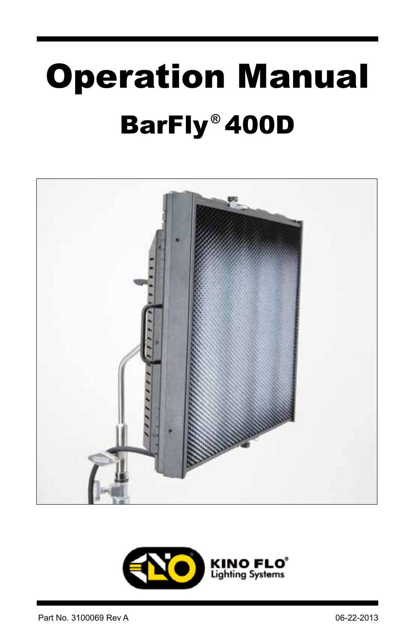# BarFly 400D **®**Operation Manual



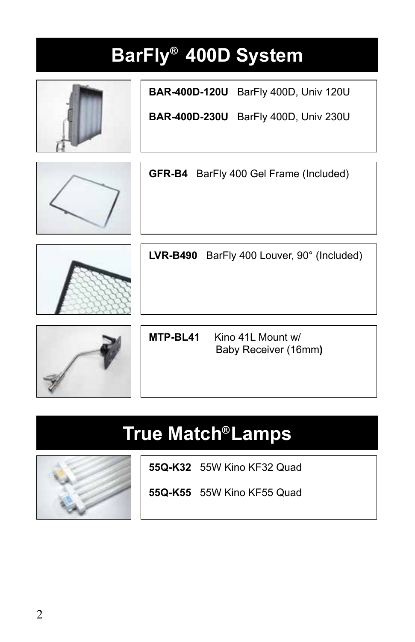# BarFly<sup>®</sup> 400D System



**BAR-400D-120U** BarFly 400D, Univ 120U

**BAR-400D-230U** BarFly 400D, Univ 230U



**GFR-B4** BarFly 400 Gel Frame (Included)



**LVR-B490** BarFly 400 Louver, 90° (Included)

**MTP-BL41** Kino 41L Mount w/ Baby Receiver (16mm**)** 

# **True Match Lamps ®**



**55Q-K32** 55W Kino KF32 Quad

**55Q-K55** 55W Kino KF55 Quad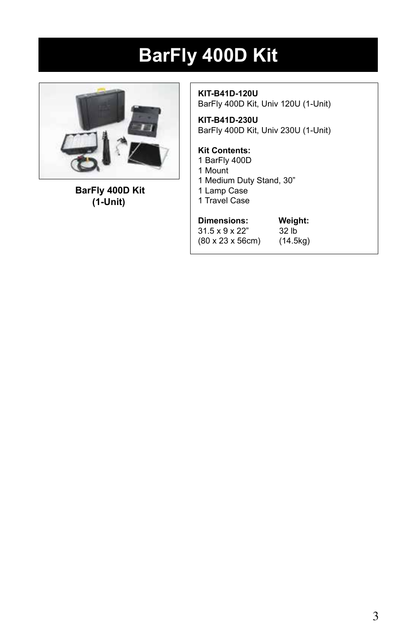# **BarFly 400D Kit**



 **BarFly 400D Kit (1-Unit)**

**KIT-B41D-120U** BarFly 400D Kit, Univ 120U (1-Unit)

**KIT-B41D-230U** BarFly 400D Kit, Univ 230U (1-Unit)

#### **Kit Contents:**

- 1 BarFly 400D
- 1 Mount
- 1 Medium Duty Stand, 30"
- 1 Lamp Case
- 1 Travel Case

| Dimensions:                          | Weight:  |  |  |
|--------------------------------------|----------|--|--|
| $31.5 \times 9 \times 22"$           | 32 lb    |  |  |
| $(80 \times 23 \times 56 \text{cm})$ | (14.5kg) |  |  |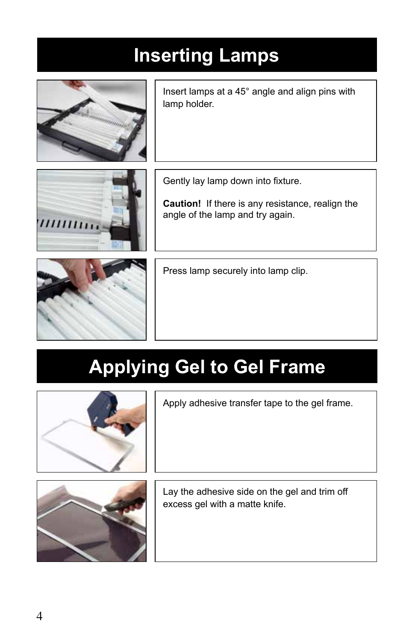# **Inserting Lamps**



Insert lamps at a 45° angle and align pins with lamp holder.



Gently lay lamp down into fixture.

**Caution!** If there is any resistance, realign the angle of the lamp and try again.



Press lamp securely into lamp clip.

# **Applying Gel to Gel Frame**



Apply adhesive transfer tape to the gel frame.



Lay the adhesive side on the gel and trim off excess gel with a matte knife.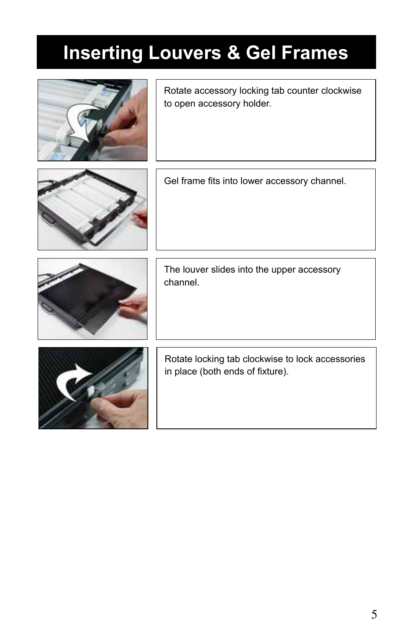# **Inserting Louvers & Gel Frames**



Rotate accessory locking tab counter clockwise to open accessory holder.



Gel frame fits into lower accessory channel.



The louver slides into the upper accessory channel.



Rotate locking tab clockwise to lock accessories in place (both ends of fixture).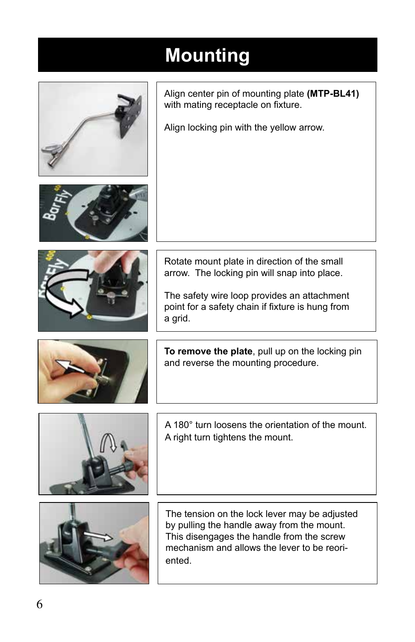# **Mounting**

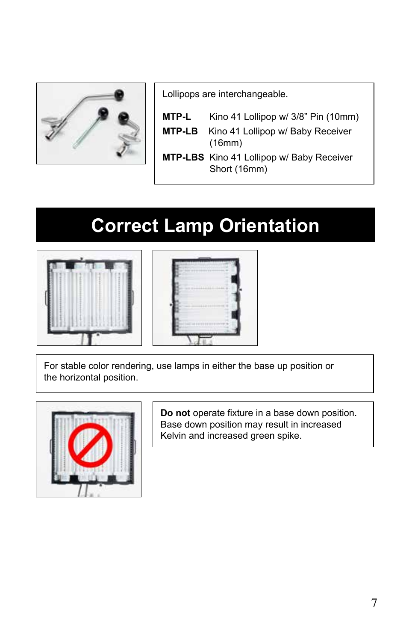![](_page_6_Picture_0.jpeg)

Lollipops are interchangeable.

- **MTP-L** Kino 41 Lollipop w/ 3/8" Pin (10mm)
- **MTP-LB** Kino 41 Lollipop w/ Baby Receiver (16mm)
- **MTP-LBS** Kino 41 Lollipop w/ Baby Receiver Short (16mm)

# **Correct Lamp Orientation**

![](_page_6_Picture_6.jpeg)

![](_page_6_Picture_7.jpeg)

For stable color rendering, use lamps in either the base up position or the horizontal position.

![](_page_6_Picture_9.jpeg)

**Do not** operate fixture in a base down position. Base down position may result in increased Kelvin and increased green spike.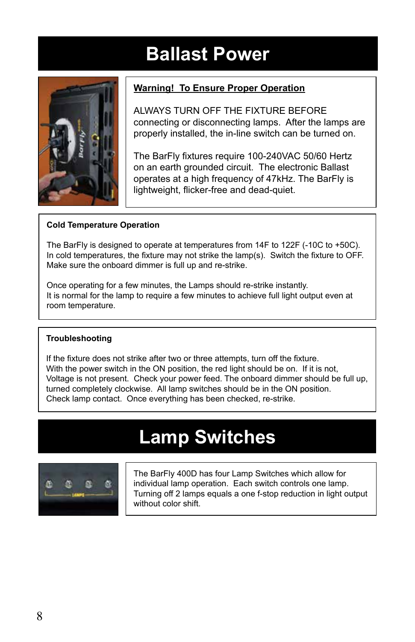### **Ballast Power**

![](_page_7_Picture_1.jpeg)

#### **Warning! To Ensure Proper Operation**

ALWAYS TURN OFF THE FIXTURE BEFORE connecting or disconnecting lamps. After the lamps are properly installed, the in-line switch can be turned on.

The BarFly fixtures require 100-240VAC 50/60 Hertz on an earth grounded circuit. The electronic Ballast operates at a high frequency of 47kHz. The BarFly is lightweight, flicker-free and dead-quiet.

#### **Cold Temperature Operation**

The BarFly is designed to operate at temperatures from 14F to 122F (-10C to +50C). In cold temperatures, the fixture may not strike the lamp(s). Switch the fixture to OFF. Make sure the onboard dimmer is full up and re-strike.

Once operating for a few minutes, the Lamps should re-strike instantly. It is normal for the lamp to require a few minutes to achieve full light output even at room temperature.

#### **Troubleshooting**

If the fixture does not strike after two or three attempts, turn off the fixture. With the power switch in the ON position, the red light should be on. If it is not, Voltage is not present. Check your power feed. The onboard dimmer should be full up, turned completely clockwise. All lamp switches should be in the ON position. Check lamp contact. Once everything has been checked, re-strike.

### **Lamp Switches**

![](_page_7_Picture_11.jpeg)

The BarFly 400D has four Lamp Switches which allow for individual lamp operation. Each switch controls one lamp. Turning off 2 lamps equals a one f-stop reduction in light output without color shift.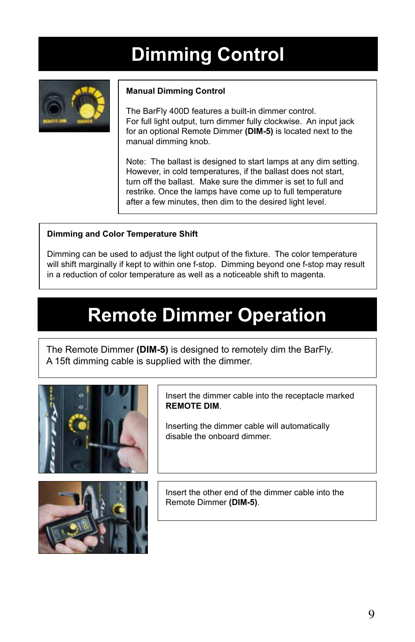# **Dimming Control**

![](_page_8_Picture_1.jpeg)

#### **Manual Dimming Control**

The BarFly 400D features a built-in dimmer control. For full light output, turn dimmer fully clockwise. An input jack for an optional Remote Dimmer **(DIM-5)** is located next to the manual dimming knob.

Note: The ballast is designed to start lamps at any dim setting. However, in cold temperatures, if the ballast does not start, turn off the ballast. Make sure the dimmer is set to full and restrike. Once the lamps have come up to full temperature after a few minutes, then dim to the desired light level.

#### **Dimming and Color Temperature Shift**

Dimming can be used to adjust the light output of the fixture. The color temperature will shift marginally if kept to within one f-stop. Dimming beyond one f-stop may result in a reduction of color temperature as well as a noticeable shift to magenta.

### **Remote Dimmer Operation**

The Remote Dimmer **(DIM-5)** is designed to remotely dim the BarFly. A 15ft dimming cable is supplied with the dimmer.

![](_page_8_Picture_9.jpeg)

![](_page_8_Picture_10.jpeg)

Insert the dimmer cable into the receptacle marked **REMOTE DIM**.

Inserting the dimmer cable will automatically disable the onboard dimmer.

Insert the other end of the dimmer cable into the Remote Dimmer **(DIM-5)**.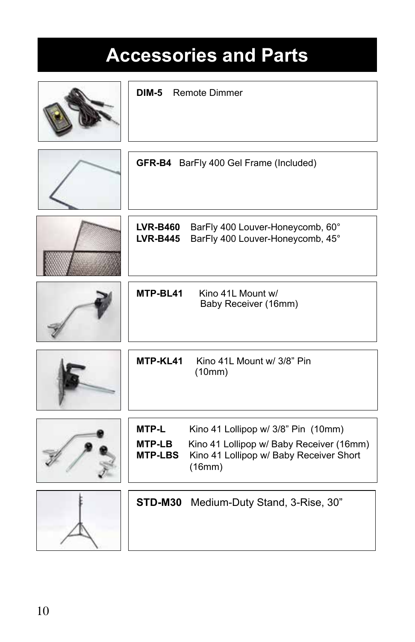## **Accessories and Parts**

| DIM-5<br><b>Remote Dimmer</b>            |                                                                                                                                      |  |  |
|------------------------------------------|--------------------------------------------------------------------------------------------------------------------------------------|--|--|
|                                          | GFR-B4 BarFly 400 Gel Frame (Included)                                                                                               |  |  |
| <b>LVR-B460</b><br><b>LVR-B445</b>       | BarFly 400 Louver-Honeycomb, 60°<br>BarFly 400 Louver-Honeycomb, 45°                                                                 |  |  |
| MTP-BL41                                 | Kino 41L Mount w/<br>Baby Receiver (16mm)                                                                                            |  |  |
| MTP-KL41                                 | Kino 41L Mount w/ 3/8" Pin<br>(10mm)                                                                                                 |  |  |
| MTP-L<br><b>MTP-LB</b><br><b>MTP-LBS</b> | Kino 41 Lollipop w/ 3/8" Pin (10mm)<br>Kino 41 Lollipop w/ Baby Receiver (16mm)<br>Kino 41 Lollipop w/ Baby Receiver Short<br>(16mm) |  |  |
|                                          | STD-M30 Medium-Duty Stand, 3-Rise, 30"                                                                                               |  |  |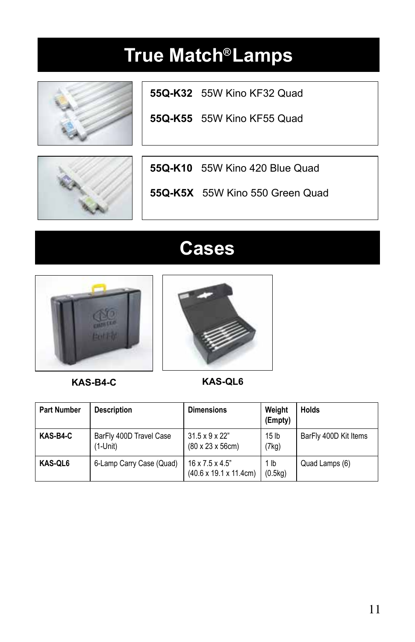![](_page_10_Picture_1.jpeg)

**55Q-K32** 55W Kino KF32 Quad

**55Q-K55** 55W Kino KF55 Quad

![](_page_10_Picture_4.jpeg)

**55Q-K10** 55W Kino 420 Blue Quad

**55Q-K5X** 55W Kino 550 Green Quad

### **Cases**

![](_page_10_Picture_8.jpeg)

![](_page_10_Picture_9.jpeg)

**KAS-B4-C KAS-QL6**

| <b>Part Number</b> | <b>Description</b>                  | <b>Dimensions</b>                                                          | Weight<br>(Empty)         | <b>Holds</b>          |
|--------------------|-------------------------------------|----------------------------------------------------------------------------|---------------------------|-----------------------|
| KAS-B4-C           | BarFly 400D Travel Case<br>(1-Unit) | $31.5 \times 9 \times 22"$<br>$(80 \times 23 \times 56$ cm)                | 15 <sub>lb</sub><br>(7kq) | BarFly 400D Kit Items |
| KAS-QL6            | 6-Lamp Carry Case (Quad)            | $16 \times 7.5 \times 4.5$ "<br>$(40.6 \times 19.1 \times 11.4 \text{cm})$ | 1 lb<br>(0.5kg)           | Quad Lamps (6)        |